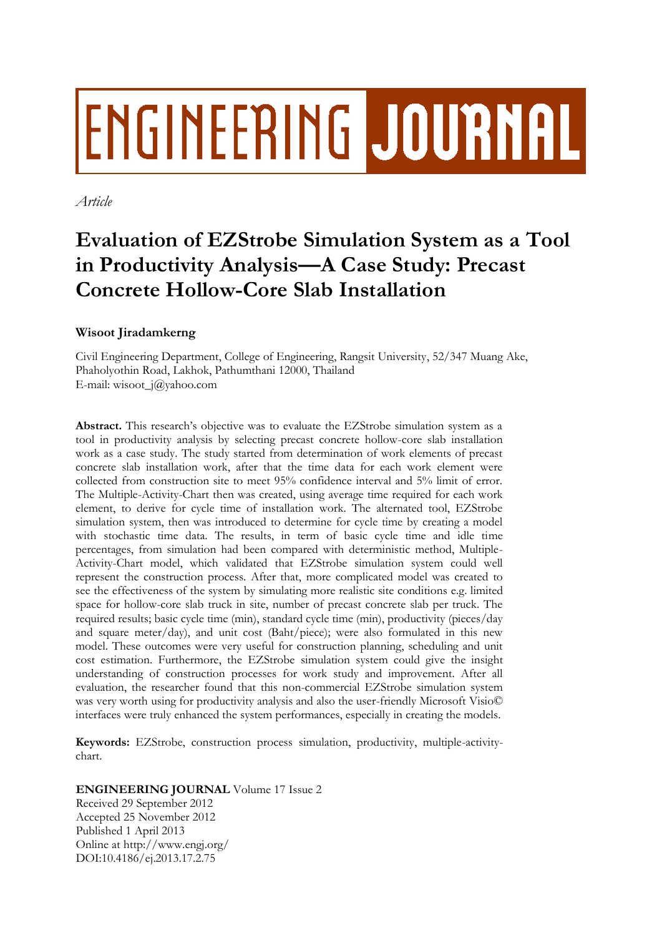# ENGINEERING JOURNAL

*Article*

## **Evaluation of EZStrobe Simulation System as a Tool in Productivity Analysis—A Case Study: Precast Concrete Hollow-Core Slab Installation**

### **Wisoot Jiradamkerng**

Civil Engineering Department, College of Engineering, Rangsit University, 52/347 Muang Ake, Phaholyothin Road, Lakhok, Pathumthani 12000, Thailand E-mail: wisoot\_j@yahoo.com

Abstract. This research's objective was to evaluate the EZStrobe simulation system as a tool in productivity analysis by selecting precast concrete hollow-core slab installation work as a case study. The study started from determination of work elements of precast concrete slab installation work, after that the time data for each work element were collected from construction site to meet 95% confidence interval and 5% limit of error. The Multiple-Activity-Chart then was created, using average time required for each work element, to derive for cycle time of installation work. The alternated tool, EZStrobe simulation system, then was introduced to determine for cycle time by creating a model with stochastic time data. The results, in term of basic cycle time and idle time percentages, from simulation had been compared with deterministic method, Multiple-Activity-Chart model, which validated that EZStrobe simulation system could well represent the construction process. After that, more complicated model was created to see the effectiveness of the system by simulating more realistic site conditions e.g. limited space for hollow-core slab truck in site, number of precast concrete slab per truck. The required results; basic cycle time (min), standard cycle time (min), productivity (pieces/day and square meter/day), and unit cost (Baht/piece); were also formulated in this new model. These outcomes were very useful for construction planning, scheduling and unit cost estimation. Furthermore, the EZStrobe simulation system could give the insight understanding of construction processes for work study and improvement. After all evaluation, the researcher found that this non-commercial EZStrobe simulation system was very worth using for productivity analysis and also the user-friendly Microsoft Visio© interfaces were truly enhanced the system performances, especially in creating the models.

**Keywords:** EZStrobe, construction process simulation, productivity, multiple-activitychart.

**ENGINEERING JOURNAL** Volume 17 Issue 2

Received 29 September 2012 Accepted 25 November 2012 Published 1 April 2013 Online at http://www.engj.org/ DOI:10.4186/ej.2013.17.2.75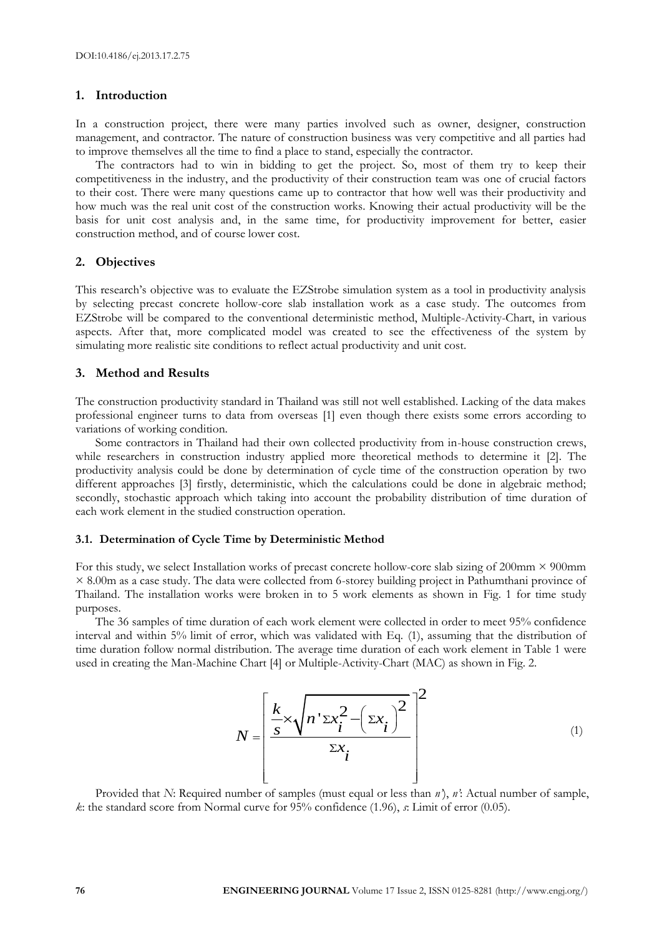#### **1. Introduction**

In a construction project, there were many parties involved such as owner, designer, construction management, and contractor. The nature of construction business was very competitive and all parties had to improve themselves all the time to find a place to stand, especially the contractor.

The contractors had to win in bidding to get the project. So, most of them try to keep their competitiveness in the industry, and the productivity of their construction team was one of crucial factors to their cost. There were many questions came up to contractor that how well was their productivity and how much was the real unit cost of the construction works. Knowing their actual productivity will be the basis for unit cost analysis and, in the same time, for productivity improvement for better, easier construction method, and of course lower cost.

#### **2. Objectives**

This research's objective was to evaluate the EZStrobe simulation system as a tool in productivity analysis by selecting precast concrete hollow-core slab installation work as a case study. The outcomes from EZStrobe will be compared to the conventional deterministic method, Multiple-Activity-Chart, in various aspects. After that, more complicated model was created to see the effectiveness of the system by simulating more realistic site conditions to reflect actual productivity and unit cost.

#### **3. Method and Results**

The construction productivity standard in Thailand was still not well established. Lacking of the data makes professional engineer turns to data from overseas [1] even though there exists some errors according to variations of working condition.

Some contractors in Thailand had their own collected productivity from in-house construction crews, while researchers in construction industry applied more theoretical methods to determine it [2]. The productivity analysis could be done by determination of cycle time of the construction operation by two different approaches [3] firstly, deterministic, which the calculations could be done in algebraic method; secondly, stochastic approach which taking into account the probability distribution of time duration of each work element in the studied construction operation.

#### **3.1. Determination of Cycle Time by Deterministic Method**

For this study, we select Installation works of precast concrete hollow-core slab sizing of  $200$ mm  $\times$   $900$ mm × 8.00m as a case study. The data were collected from 6-storey building project in Pathumthani province of Thailand. The installation works were broken in to 5 work elements as shown in Fig. 1 for time study purposes.

The 36 samples of time duration of each work element were collected in order to meet 95% confidence interval and within 5% limit of error, which was validated with Eq. (1), assuming that the distribution of time duration follow normal distribution. The average time duration of each work element in Table 1 were used in creating the Man-Machine Chart [4] or Multiple-Activity-Chart (MAC) as shown in Fig. 2.

$$
N = \left[\frac{\frac{k}{s} \times \sqrt{n' \Sigma x_i^2 - \left(\Sigma x_i\right)^2}}{\Sigma x_i}\right]^{2}
$$
\n(1)

Provided that *N*: Required number of samples (must equal or less than *n'*), *n'*: Actual number of sample, *k*: the standard score from Normal curve for 95% confidence (1.96), *s*: Limit of error (0.05).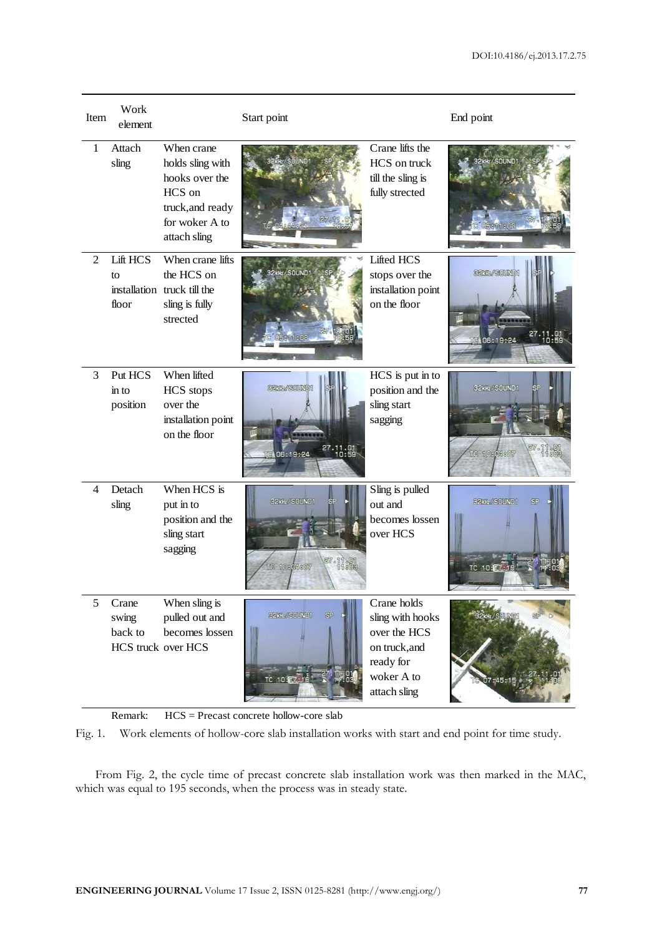| Item           | Work<br>element                                 |                                                                                                                  | Start point                             |                                                                                                             | End point                                      |
|----------------|-------------------------------------------------|------------------------------------------------------------------------------------------------------------------|-----------------------------------------|-------------------------------------------------------------------------------------------------------------|------------------------------------------------|
| 1              | Attach<br>sling                                 | When crane<br>holds sling with<br>hooks over the<br>HCS on<br>truck, and ready<br>for woker A to<br>attach sling |                                         | Crane lifts the<br>HCS on truck<br>till the sling is<br>fully strected                                      | 32kHz / SOUND1<br>11:08                        |
| $\overline{2}$ | <b>Lift HCS</b><br>to<br>floor                  | When crane lifts<br>the HCS on<br>installation truck till the<br>sling is fully<br>strected                      | 32kHz/SOUND1<br>05811808                | <b>Lifted HCS</b><br>stops over the<br>installation point<br>on the floor                                   | S2KR/SOUND1<br>TC 06:19:24                     |
| 3              | Put HCS<br>$\sin$ to<br>position                | When lifted<br><b>HCS</b> stops<br>over the<br>installation point<br>on the floor                                | S2KH/SOUND<br>27.11.<br>10:<br>06:19:24 | HCS is put in to<br>position and the<br>sling start<br>sagging                                              | 32kHz/SOUND1<br>27.11.000<br>TC 10804807       |
| 4              | Detach<br>sling                                 | When HCS is<br>put in to<br>position and the<br>sling start<br>sagging                                           | 32kHz / SOUND1<br>27 .<br>TC 10804807   | Sling is pulled<br>out and<br>becomes lossen<br>over HCS                                                    | 32KHz/SOUND1<br>S <sub>F</sub><br>TC 10: 17:18 |
| 5              | Crane<br>swing<br>back to<br>HCS truck over HCS | When sling is<br>pulled out and<br>becomes lossen                                                                | 32kHz/SOUND1<br>SP<br>TC 10:17:1        | Crane holds<br>sling with hooks<br>over the HCS<br>on truck, and<br>ready for<br>woker A to<br>attach sling | 2KHz / SOUND                                   |

Remark: HCS = Precast concrete hollow-core slab

Fig. 1. Work elements of hollow-core slab installation works with start and end point for time study.

From Fig. 2, the cycle time of precast concrete slab installation work was then marked in the MAC, which was equal to 195 seconds, when the process was in steady state.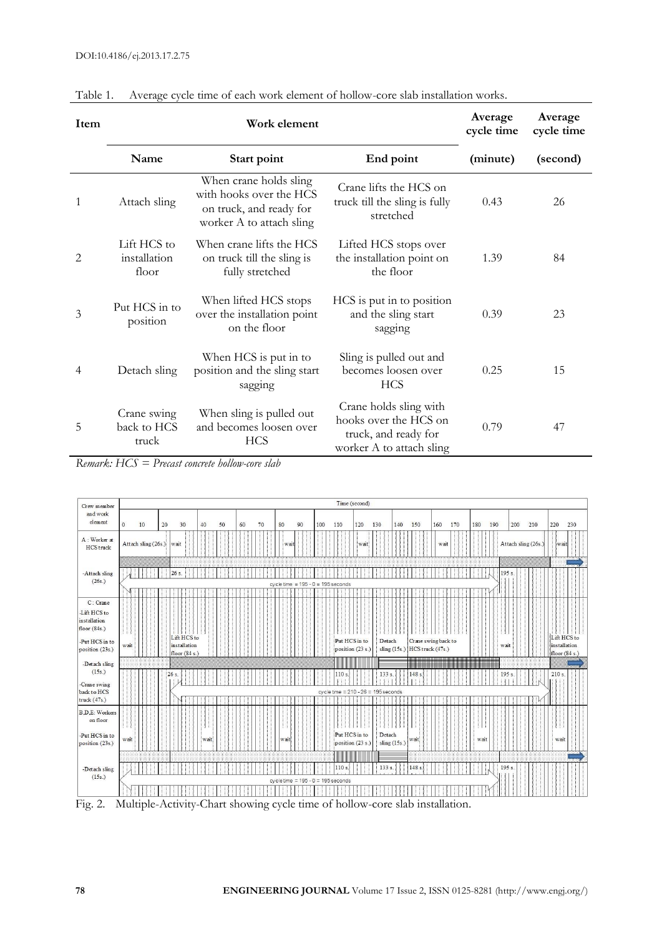| Item |                                      | Work element                                                                                             |                                                                                                     | Average<br>cycle time | Average<br>cycle time |
|------|--------------------------------------|----------------------------------------------------------------------------------------------------------|-----------------------------------------------------------------------------------------------------|-----------------------|-----------------------|
|      | Name                                 | Start point                                                                                              | End point                                                                                           | (minute)              | (second)              |
| 1    | Attach sling                         | When crane holds sling<br>with hooks over the HCS<br>on truck, and ready for<br>worker A to attach sling | Crane lifts the HCS on<br>truck till the sling is fully<br>stretched                                | 0.43                  | 26                    |
| 2    | Lift HCS to<br>installation<br>floor | When crane lifts the HCS<br>on truck till the sling is<br>fully stretched                                | Lifted HCS stops over<br>the installation point on<br>the floor                                     | 1.39                  | 84                    |
| 3    | Put HCS in to<br>position            | When lifted HCS stops<br>over the installation point<br>on the floor                                     | HCS is put in to position<br>and the sling start<br>sagging                                         | 0.39                  | 23                    |
| 4    | Detach sling                         | When HCS is put in to<br>position and the sling start<br>sagging                                         | Sling is pulled out and<br>becomes loosen over<br><b>HCS</b>                                        | 0.25                  | 15                    |
| 5    | Crane swing<br>back to HCS<br>truck  | When sling is pulled out<br>and becomes loosen over<br><b>HCS</b>                                        | Crane holds sling with<br>hooks over the HCS on<br>truck, and ready for<br>worker A to attach sling | 0.79                  | 47                    |

Table 1. Average cycle time of each work element of hollow-core slab installation works.

*Remark: HCS = Precast concrete hollow-core slab*



Fig. 2. Multiple-Activity-Chart showing cycle time of hollow-core slab installation.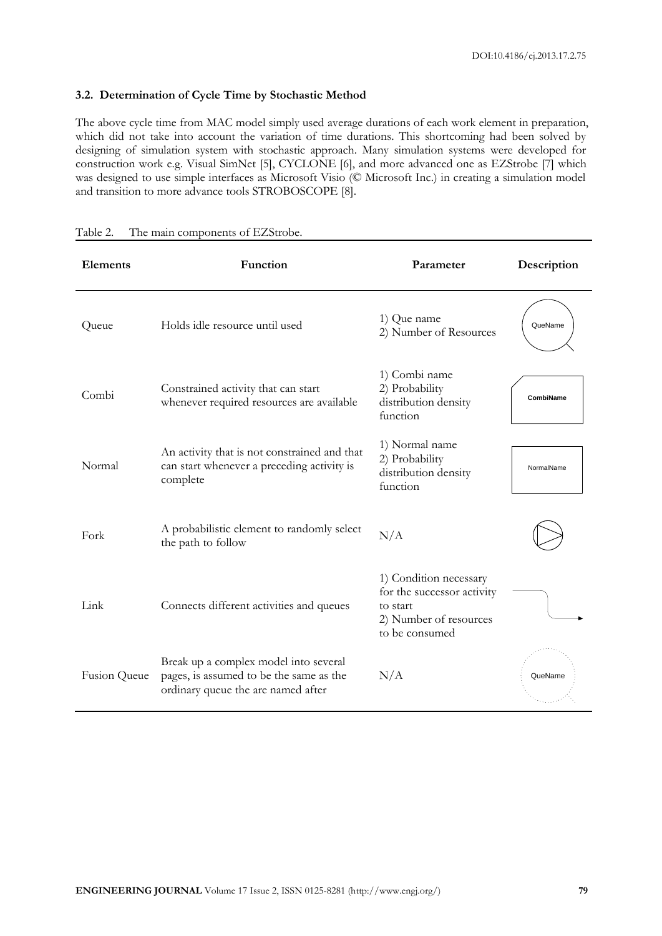#### **3.2. Determination of Cycle Time by Stochastic Method**

The above cycle time from MAC model simply used average durations of each work element in preparation, which did not take into account the variation of time durations. This shortcoming had been solved by designing of simulation system with stochastic approach. Many simulation systems were developed for construction work e.g. Visual SimNet [5], CYCLONE [6], and more advanced one as EZStrobe [7] which was designed to use simple interfaces as Microsoft Visio (© Microsoft Inc.) in creating a simulation model and transition to more advance tools STROBOSCOPE [8].

| <b>Elements</b> | Function                                                                                                               | Parameter                                                                                                    | Description |
|-----------------|------------------------------------------------------------------------------------------------------------------------|--------------------------------------------------------------------------------------------------------------|-------------|
| Queue           | Holds idle resource until used                                                                                         | 1) Que name<br>2) Number of Resources                                                                        | QueName     |
| Combi           | Constrained activity that can start<br>whenever required resources are available                                       | 1) Combi name<br>2) Probability<br>distribution density<br>function                                          | CombiName   |
| Normal          | An activity that is not constrained and that<br>can start whenever a preceding activity is<br>complete                 | 1) Normal name<br>2) Probability<br>distribution density<br>function                                         | NormalName  |
| Fork            | A probabilistic element to randomly select<br>the path to follow                                                       | N/A                                                                                                          |             |
| Link            | Connects different activities and queues                                                                               | 1) Condition necessary<br>for the successor activity<br>to start<br>2) Number of resources<br>to be consumed |             |
| Fusion Queue    | Break up a complex model into several<br>pages, is assumed to be the same as the<br>ordinary queue the are named after | N/A                                                                                                          | QueName     |

| Table 2. |  | The main components of EZStrobe. |
|----------|--|----------------------------------|
|          |  |                                  |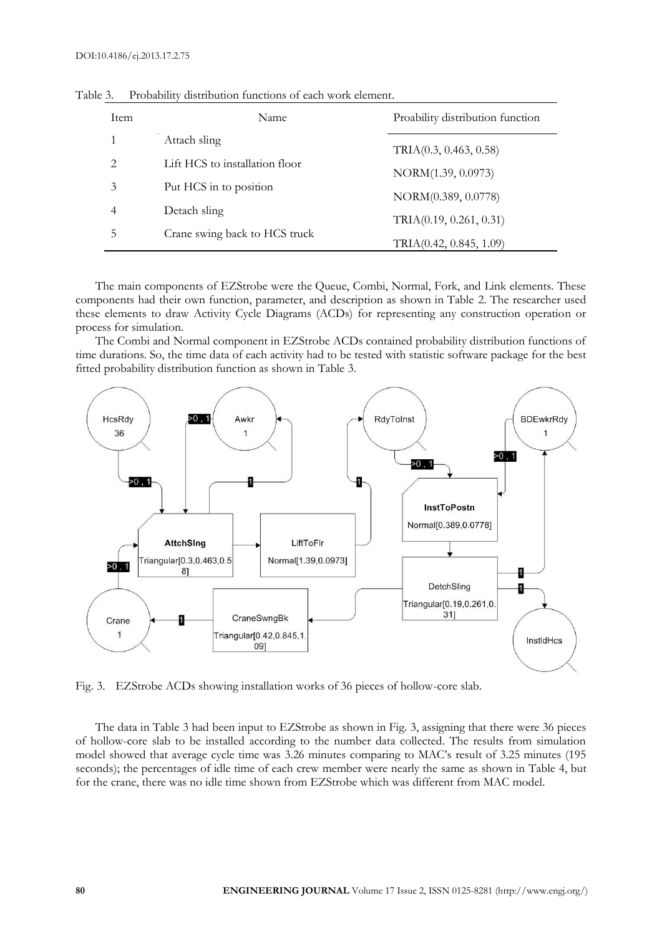| Item                        | Name                           | Proability distribution function |
|-----------------------------|--------------------------------|----------------------------------|
| 1                           | Attach sling                   | TRIA(0.3, 0.463, 0.58)           |
| $\mathcal{D}_{\mathcal{L}}$ | Lift HCS to installation floor | NORM(1.39, 0.0973)               |
| 3                           | Put HCS in to position         |                                  |
| 4                           | Detach sling                   | NORM(0.389, 0.0778)              |
| 5                           | Crane swing back to HCS truck  | TRIA(0.19, 0.261, 0.31)          |
|                             |                                | TRIA(0.42, 0.845, 1.09)          |

Table 3. Probability distribution functions of each work element.

The main components of EZStrobe were the Queue, Combi, Normal, Fork, and Link elements. These components had their own function, parameter, and description as shown in Table 2. The researcher used these elements to draw Activity Cycle Diagrams (ACDs) for representing any construction operation or process for simulation.

The Combi and Normal component in EZStrobe ACDs contained probability distribution functions of time durations. So, the time data of each activity had to be tested with statistic software package for the best fitted probability distribution function as shown in Table 3.



Fig. 3. EZStrobe ACDs showing installation works of 36 pieces of hollow-core slab.

The data in Table 3 had been input to EZStrobe as shown in Fig. 3, assigning that there were 36 pieces of hollow-core slab to be installed according to the number data collected. The results from simulation model showed that average cycle time was 3.26 minutes comparing to MAC's result of 3.25 minutes (195 seconds); the percentages of idle time of each crew member were nearly the same as shown in Table 4, but for the crane, there was no idle time shown from EZStrobe which was different from MAC model.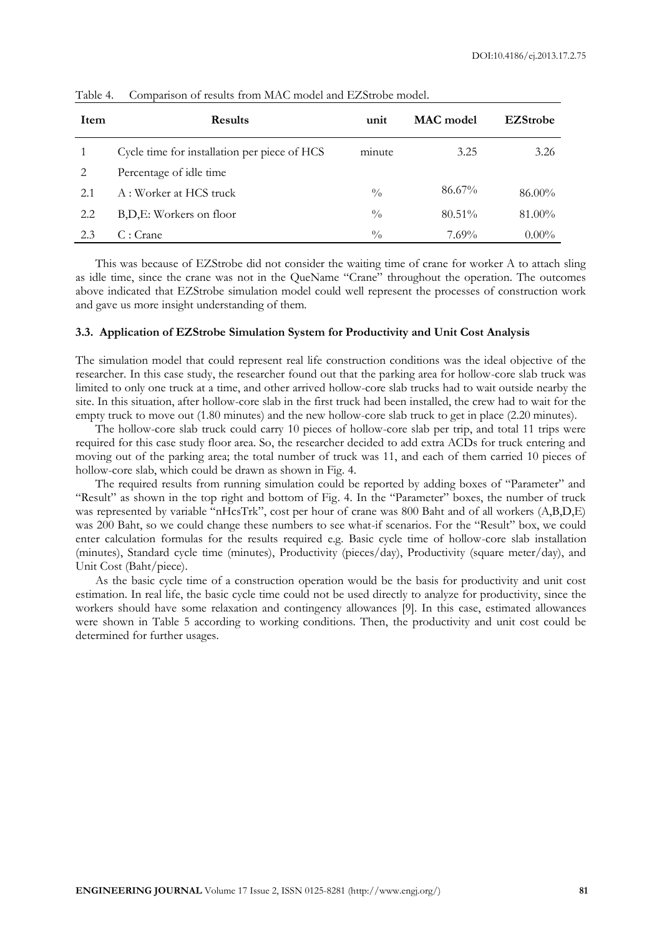| Item          | <b>Results</b>                               | unit          | MAC model | <b>EZStrobe</b> |
|---------------|----------------------------------------------|---------------|-----------|-----------------|
|               | Cycle time for installation per piece of HCS | minute        | 3.25      | 3.26            |
| $\mathcal{L}$ | Percentage of idle time                      |               |           |                 |
| 2.1           | A : Worker at HCS truck                      | $\frac{0}{0}$ | 86.67%    | 86.00%          |
| 2.2           | B,D,E: Workers on floor                      | $\frac{0}{0}$ | $80.51\%$ | 81.00%          |
| 2.3           | C:Crane                                      | $\frac{0}{0}$ | $7.69\%$  | $0.00\%$        |

Table 4. Comparison of results from MAC model and EZStrobe model.

This was because of EZStrobe did not consider the waiting time of crane for worker A to attach sling as idle time, since the crane was not in the QueName "Crane" throughout the operation. The outcomes above indicated that EZStrobe simulation model could well represent the processes of construction work and gave us more insight understanding of them.

#### **3.3. Application of EZStrobe Simulation System for Productivity and Unit Cost Analysis**

The simulation model that could represent real life construction conditions was the ideal objective of the researcher. In this case study, the researcher found out that the parking area for hollow-core slab truck was limited to only one truck at a time, and other arrived hollow-core slab trucks had to wait outside nearby the site. In this situation, after hollow-core slab in the first truck had been installed, the crew had to wait for the empty truck to move out (1.80 minutes) and the new hollow-core slab truck to get in place (2.20 minutes).

The hollow-core slab truck could carry 10 pieces of hollow-core slab per trip, and total 11 trips were required for this case study floor area. So, the researcher decided to add extra ACDs for truck entering and moving out of the parking area; the total number of truck was 11, and each of them carried 10 pieces of hollow-core slab, which could be drawn as shown in Fig. 4.

The required results from running simulation could be reported by adding boxes of "Parameter" and "Result" as shown in the top right and bottom of Fig. 4. In the "Parameter" boxes, the number of truck was represented by variable "nHcsTrk", cost per hour of crane was 800 Baht and of all workers (A,B,D,E) was 200 Baht, so we could change these numbers to see what-if scenarios. For the "Result" box, we could enter calculation formulas for the results required e.g. Basic cycle time of hollow-core slab installation (minutes), Standard cycle time (minutes), Productivity (pieces/day), Productivity (square meter/day), and Unit Cost (Baht/piece).

As the basic cycle time of a construction operation would be the basis for productivity and unit cost estimation. In real life, the basic cycle time could not be used directly to analyze for productivity, since the workers should have some relaxation and contingency allowances [9]. In this case, estimated allowances were shown in Table 5 according to working conditions. Then, the productivity and unit cost could be determined for further usages.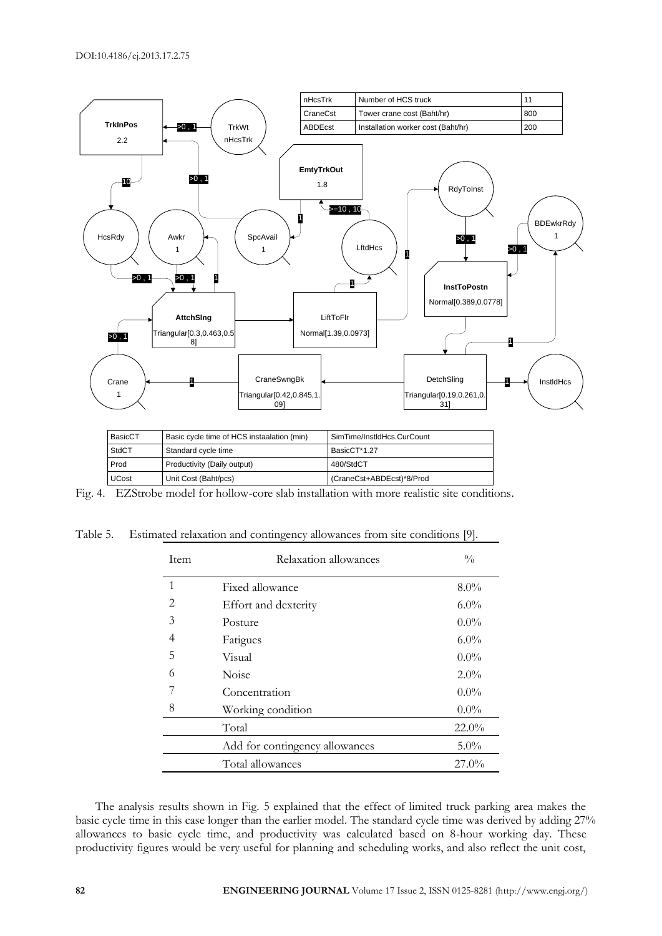

| BasicCT | Basic cycle time of HCS instaalation (min) | SimTime/InstIdHcs.CurCount |
|---------|--------------------------------------------|----------------------------|
| StdCT   | Standard cycle time                        | BasicCT*1.27               |
| Prod    | Productivity (Daily output)                | 480/StdCT                  |
| UCost   | Unit Cost (Baht/pcs)                       | (CraneCst+ABDEcst)*8/Prod  |

Fig. 4. EZStrobe model for hollow-core slab installation with more realistic site conditions.

|  | Table 5. Estimated relaxation and contingency allowances from site conditions [9]. |  |  |  |  |
|--|------------------------------------------------------------------------------------|--|--|--|--|
|  |                                                                                    |  |  |  |  |

| <b>Item</b>  | Relaxation allowances          | $\frac{0}{0}$ |  |
|--------------|--------------------------------|---------------|--|
| $\mathbf{1}$ | Fixed allowance                | $8.0\%$       |  |
| 2            | Effort and dexterity           | $6.0\%$       |  |
| 3            | Posture                        | $0.0\%$       |  |
| 4            | Fatigues                       | $6.0\%$       |  |
| 5            | Visual                         | $0.0\%$       |  |
| 6            | <b>Noise</b>                   | $2.0\%$       |  |
| 7            | Concentration                  | $0.0\%$       |  |
| 8            | Working condition              | $0.0\%$       |  |
|              | Total                          | $22.0\%$      |  |
|              | Add for contingency allowances | 5.0%          |  |
|              | Total allowances               | $27.0\%$      |  |

The analysis results shown in Fig. 5 explained that the effect of limited truck parking area makes the basic cycle time in this case longer than the earlier model. The standard cycle time was derived by adding 27% allowances to basic cycle time, and productivity was calculated based on 8-hour working day. These productivity figures would be very useful for planning and scheduling works, and also reflect the unit cost,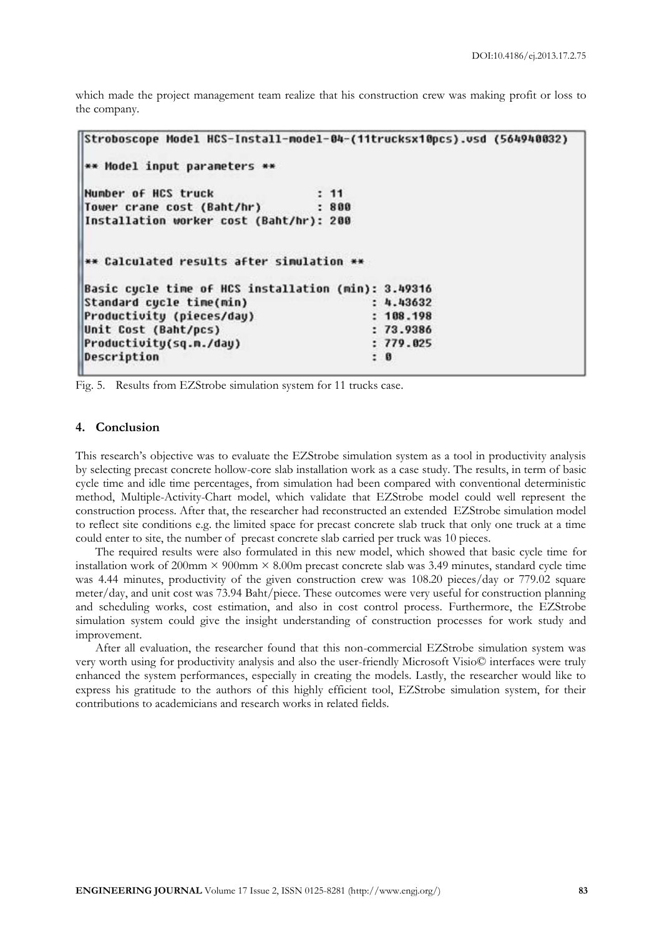which made the project management team realize that his construction crew was making profit or loss to the company.

```
Stroboscope Model HCS-Install-model-04-(11trucksx10pcs).vsd (564940032)
** Model input parameters **
Number of HCS truck
                                  : 11: 800Tower crane cost (Baht/hr)
Installation worker cost (Baht/hr): 200
** Calculated results after simulation **
Basic cycle time of HCS installation (min): 3.49316
Standard cycle time(min)
                                          : 4.43632Productivity (pieces/day)
                                          : 108.198Unit Cost (Baht/pcs)
                                          : 73.9386: 779.025Productivity(sq.m./day)
Description
                                          : 0
```
Fig. 5. Results from EZStrobe simulation system for 11 trucks case.

#### **4. Conclusion**

This research's objective was to evaluate the EZStrobe simulation system as a tool in productivity analysis by selecting precast concrete hollow-core slab installation work as a case study. The results, in term of basic cycle time and idle time percentages, from simulation had been compared with conventional deterministic method, Multiple-Activity-Chart model, which validate that EZStrobe model could well represent the construction process. After that, the researcher had reconstructed an extended EZStrobe simulation model to reflect site conditions e.g. the limited space for precast concrete slab truck that only one truck at a time could enter to site, the number of precast concrete slab carried per truck was 10 pieces.

The required results were also formulated in this new model, which showed that basic cycle time for installation work of 200mm  $\times$  900mm  $\times$  8.00m precast concrete slab was 3.49 minutes, standard cycle time was 4.44 minutes, productivity of the given construction crew was 108.20 pieces/day or 779.02 square meter/day, and unit cost was 73.94 Baht/piece. These outcomes were very useful for construction planning and scheduling works, cost estimation, and also in cost control process. Furthermore, the EZStrobe simulation system could give the insight understanding of construction processes for work study and improvement.

After all evaluation, the researcher found that this non-commercial EZStrobe simulation system was very worth using for productivity analysis and also the user-friendly Microsoft Visio© interfaces were truly enhanced the system performances, especially in creating the models. Lastly, the researcher would like to express his gratitude to the authors of this highly efficient tool, EZStrobe simulation system, for their contributions to academicians and research works in related fields.